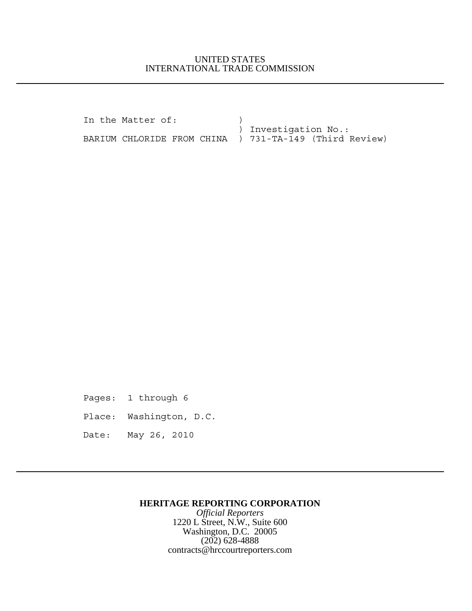## UNITED STATES INTERNATIONAL TRADE COMMISSION

In the Matter of:  $)$  ) Investigation No.: BARIUM CHLORIDE FROM CHINA ) 731-TA-149 (Third Review)

Pages: 1 through 6

Place: Washington, D.C.

Date: May 26, 2010

## **HERITAGE REPORTING CORPORATION**

*Official Reporters* 1220 L Street, N.W., Suite 600 Washington, D.C. 20005 (202) 628-4888 contracts@hrccourtreporters.com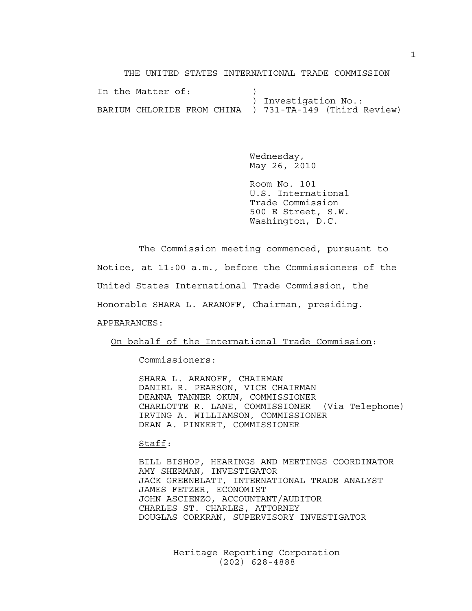THE UNITED STATES INTERNATIONAL TRADE COMMISSION

|  | In the Matter of: |  |                                                        |  |
|--|-------------------|--|--------------------------------------------------------|--|
|  |                   |  | ) Investigation No.:                                   |  |
|  |                   |  | BARIUM CHLORIDE FROM CHINA ) 731-TA-149 (Third Review) |  |

Wednesday, May 26, 2010

Room No. 101 U.S. International Trade Commission 500 E Street, S.W. Washington, D.C.

The Commission meeting commenced, pursuant to Notice, at 11:00 a.m., before the Commissioners of the United States International Trade Commission, the Honorable SHARA L. ARANOFF, Chairman, presiding. APPEARANCES:

On behalf of the International Trade Commission:

Commissioners:

SHARA L. ARANOFF, CHAIRMAN DANIEL R. PEARSON, VICE CHAIRMAN DEANNA TANNER OKUN, COMMISSIONER CHARLOTTE R. LANE, COMMISSIONER (Via Telephone) IRVING A. WILLIAMSON, COMMISSIONER DEAN A. PINKERT, COMMISSIONER

### Staff:

BILL BISHOP, HEARINGS AND MEETINGS COORDINATOR AMY SHERMAN, INVESTIGATOR JACK GREENBLATT, INTERNATIONAL TRADE ANALYST JAMES FETZER, ECONOMIST JOHN ASCIENZO, ACCOUNTANT/AUDITOR CHARLES ST. CHARLES, ATTORNEY DOUGLAS CORKRAN, SUPERVISORY INVESTIGATOR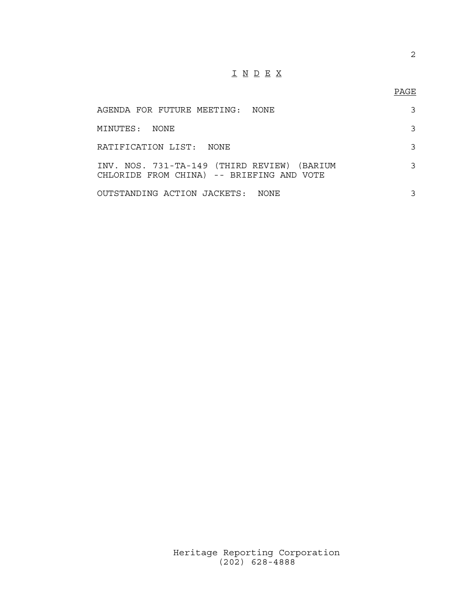# I N D E X

# PAGE

| AGENDA FOR FUTURE MEETING: NONE                                                          | 3 |
|------------------------------------------------------------------------------------------|---|
| MINUTES: NONE                                                                            | 3 |
| RATIFICATION LIST: NONE                                                                  | 3 |
| INV. NOS. 731-TA-149 (THIRD REVIEW) (BARIUM<br>CHLORIDE FROM CHINA) -- BRIEFING AND VOTE | 3 |
| OUTSTANDING ACTION JACKETS: NONE                                                         | 3 |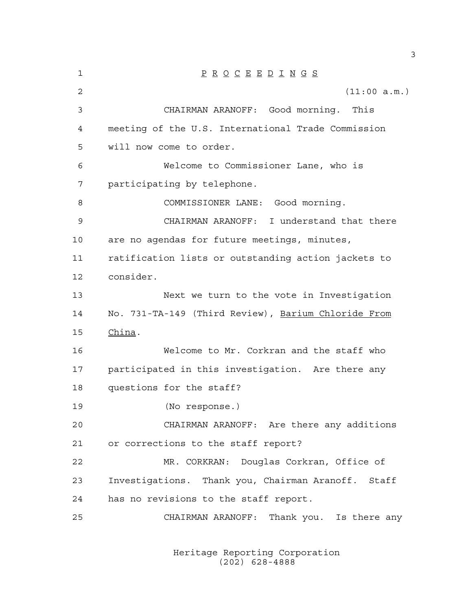| 1  | $\underline{P} \underline{R} \underline{O} \underline{C} \underline{E} \underline{E} \underline{D} \underline{I} \underline{N} \underline{G} \underline{S}$ |
|----|-------------------------------------------------------------------------------------------------------------------------------------------------------------|
| 2  | (11:00 a.m.)                                                                                                                                                |
| 3  | CHAIRMAN ARANOFF: Good morning.<br>This                                                                                                                     |
| 4  | meeting of the U.S. International Trade Commission                                                                                                          |
| 5  | will now come to order.                                                                                                                                     |
| 6  | Welcome to Commissioner Lane, who is                                                                                                                        |
| 7  | participating by telephone.                                                                                                                                 |
| 8  | COMMISSIONER LANE: Good morning.                                                                                                                            |
| 9  | CHAIRMAN ARANOFF: I understand that there                                                                                                                   |
| 10 | are no agendas for future meetings, minutes,                                                                                                                |
| 11 | ratification lists or outstanding action jackets to                                                                                                         |
| 12 | consider.                                                                                                                                                   |
| 13 | Next we turn to the vote in Investigation                                                                                                                   |
| 14 | No. 731-TA-149 (Third Review), Barium Chloride From                                                                                                         |
| 15 | China.                                                                                                                                                      |
| 16 | Welcome to Mr. Corkran and the staff who                                                                                                                    |
| 17 | participated in this investigation. Are there any                                                                                                           |
| 18 | questions for the staff?                                                                                                                                    |
| 19 | (No response.)                                                                                                                                              |
| 20 | CHAIRMAN ARANOFF: Are there any additions                                                                                                                   |
| 21 | or corrections to the staff report?                                                                                                                         |
| 22 | MR. CORKRAN: Douglas Corkran, Office of                                                                                                                     |
| 23 | Investigations. Thank you, Chairman Aranoff. Staff                                                                                                          |
| 24 | has no revisions to the staff report.                                                                                                                       |
| 25 | CHAIRMAN ARANOFF: Thank you. Is there any                                                                                                                   |
|    |                                                                                                                                                             |

Heritage Reporting Corporation (202) 628-4888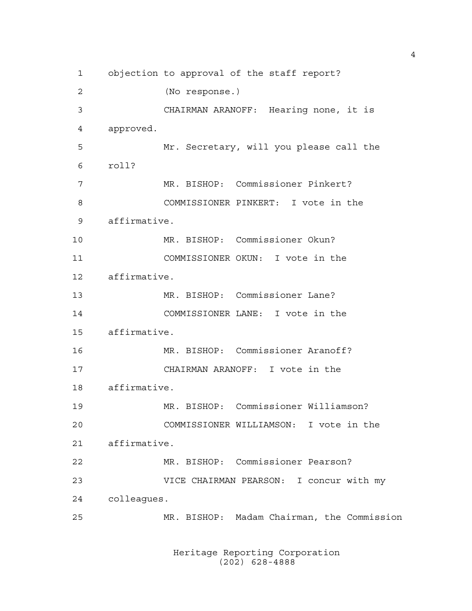objection to approval of the staff report? (No response.) CHAIRMAN ARANOFF: Hearing none, it is approved. Mr. Secretary, will you please call the roll? MR. BISHOP: Commissioner Pinkert? COMMISSIONER PINKERT: I vote in the affirmative. MR. BISHOP: Commissioner Okun? COMMISSIONER OKUN: I vote in the affirmative. MR. BISHOP: Commissioner Lane? COMMISSIONER LANE: I vote in the affirmative. MR. BISHOP: Commissioner Aranoff? CHAIRMAN ARANOFF: I vote in the affirmative. MR. BISHOP: Commissioner Williamson? COMMISSIONER WILLIAMSON: I vote in the affirmative. MR. BISHOP: Commissioner Pearson? VICE CHAIRMAN PEARSON: I concur with my colleagues. MR. BISHOP: Madam Chairman, the Commission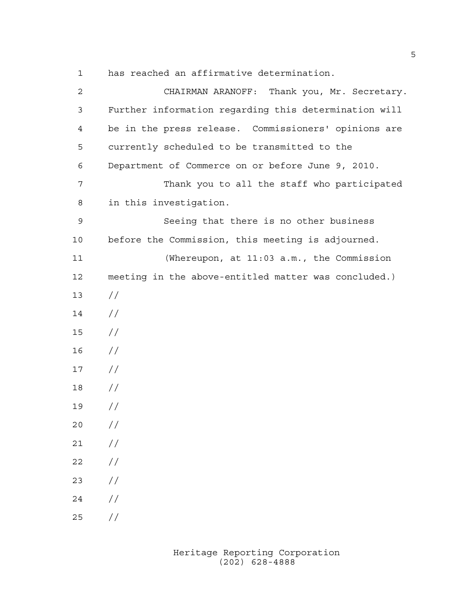has reached an affirmative determination.

| $\mathbf{2}$ | CHAIRMAN ARANOFF: Thank you, Mr. Secretary.           |  |  |  |  |  |
|--------------|-------------------------------------------------------|--|--|--|--|--|
| 3            | Further information regarding this determination will |  |  |  |  |  |
| 4            | be in the press release. Commissioners' opinions are  |  |  |  |  |  |
| 5            | currently scheduled to be transmitted to the          |  |  |  |  |  |
| 6            | Department of Commerce on or before June 9, 2010.     |  |  |  |  |  |
| 7            | Thank you to all the staff who participated           |  |  |  |  |  |
| 8            | in this investigation.                                |  |  |  |  |  |
| 9            | Seeing that there is no other business                |  |  |  |  |  |
| 10           | before the Commission, this meeting is adjourned.     |  |  |  |  |  |
| 11           | (Whereupon, at 11:03 a.m., the Commission             |  |  |  |  |  |
| 12           | meeting in the above-entitled matter was concluded.)  |  |  |  |  |  |
| 13           | $\frac{1}{2}$                                         |  |  |  |  |  |
| 14           | $\frac{1}{2}$                                         |  |  |  |  |  |
| 15           | $\frac{1}{2}$                                         |  |  |  |  |  |
| 16           | $\frac{1}{2}$                                         |  |  |  |  |  |
| 17           | $\frac{1}{2}$                                         |  |  |  |  |  |
| 18           | $\frac{1}{2}$                                         |  |  |  |  |  |
| 19           | $\frac{1}{2}$                                         |  |  |  |  |  |
| 20           | $\frac{1}{2}$                                         |  |  |  |  |  |
| $2\,1$       | $\frac{1}{2}$                                         |  |  |  |  |  |
| 22           | $\frac{1}{2}$                                         |  |  |  |  |  |
| 23           | $\frac{1}{2}$                                         |  |  |  |  |  |
| $2\sqrt{4}$  | $\frac{1}{2}$                                         |  |  |  |  |  |
| 25           | //                                                    |  |  |  |  |  |